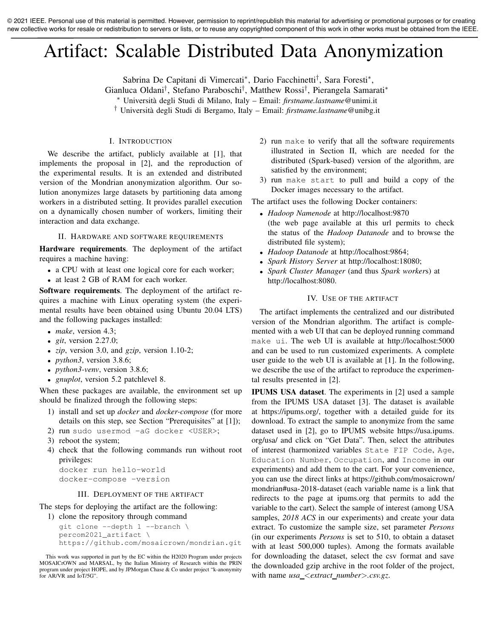© 2021 IEEE. Personal use of this material is permitted. However, permission to reprint/republish this material for advertising or promotional purposes or for creating new collective works for resale or redistribution to servers or lists, or to reuse any copyrighted component of this work in other works must be obtained from the IEEE.

# Artifact: Scalable Distributed Data Anonymization

Sabrina De Capitani di Vimercati<sup>∗</sup> , Dario Facchinetti† , Sara Foresti<sup>∗</sup> ,

Gianluca Oldani† , Stefano Paraboschi† , Matthew Rossi† , Pierangela Samarati<sup>∗</sup>

<sup>∗</sup> Universit`a degli Studi di Milano, Italy – Email: *firstname.lastname*@unimi.it

† Universit`a degli Studi di Bergamo, Italy – Email: *firstname.lastname*@unibg.it

# I. INTRODUCTION

We describe the artifact, publicly available at [1], that implements the proposal in [2], and the reproduction of the experimental results. It is an extended and distributed version of the Mondrian anonymization algorithm. Our solution anonymizes large datasets by partitioning data among workers in a distributed setting. It provides parallel execution on a dynamically chosen number of workers, limiting their interaction and data exchange.

## II. HARDWARE AND SOFTWARE REQUIREMENTS

Hardware requirements. The deployment of the artifact requires a machine having:

- a CPU with at least one logical core for each worker;
- at least 2 GB of RAM for each worker.

Software requirements. The deployment of the artifact requires a machine with Linux operating system (the experimental results have been obtained using Ubuntu 20.04 LTS) and the following packages installed:

- *make*, version 4.3;
- *git*, version 2.27.0;
- *zip*, version 3.0, and *gzip*, version 1.10-2;
- *python3*, version 3.8.6;
- *python3-venv*, version 3.8.6;
- *gnuplot*, version 5.2 patchlevel 8.

When these packages are available, the environment set up should be finalized through the following steps:

- 1) install and set up *docker* and *docker-compose* (for more details on this step, see Section "Prerequisites" at [1]);
- 2) run sudo usermod -aG docker <USER>;
- 3) reboot the system;
- 4) check that the following commands run without root privileges:

docker run hello-world docker-compose -version

#### III. DEPLOYMENT OF THE ARTIFACT

The steps for deploying the artifact are the following: 1) clone the repository through command

```
git clone --depth 1 --branch \
percom2021_artifact \
https://github.com/mosaicrown/mondrian.git
```
- 2) run make to verify that all the software requirements illustrated in Section II, which are needed for the distributed (Spark-based) version of the algorithm, are satisfied by the environment;
- 3) run make start to pull and build a copy of the Docker images necessary to the artifact.

The artifact uses the following Docker containers:

- *Hadoop Namenode* at http://localhost:9870 (the web page available at this url permits to check the status of the *Hadoop Datanode* and to browse the distributed file system);
- *Hadoop Datanode* at http://localhost:9864;
- *Spark History Server* at http://localhost:18080;
- *Spark Cluster Manager* (and thus *Spark worker*s) at http://localhost:8080.

## IV. USE OF THE ARTIFACT

The artifact implements the centralized and our distributed version of the Mondrian algorithm. The artifact is complemented with a web UI that can be deployed running command make ui. The web UI is available at http://localhost:5000 and can be used to run customized experiments. A complete user guide to the web UI is available at [1]. In the following, we describe the use of the artifact to reproduce the experimental results presented in [2].

IPUMS USA dataset. The experiments in [2] used a sample from the IPUMS USA dataset [3]. The dataset is available at https://ipums.org/, together with a detailed guide for its download. To extract the sample to anonymize from the same dataset used in [2], go to IPUMS website https://usa.ipums. org/usa/ and click on "Get Data". Then, select the attributes of interest (harmonized variables State FIP Code, Age, Education Number, Occupation, and Income in our experiments) and add them to the cart. For your convenience, you can use the direct links at https://github.com/mosaicrown/ mondrian#usa-2018-dataset (each variable name is a link that redirects to the page at ipums.org that permits to add the variable to the cart). Select the sample of interest (among USA samples, *2018 ACS* in our experiments) and create your data extract. To customize the sample size, set parameter *Persons* (in our experiments *Persons* is set to 510, to obtain a dataset with at least 500,000 tuples). Among the formats available for downloading the dataset, select the csv format and save the downloaded gzip archive in the root folder of the project, with name *usa* <*extract number*>*.csv.gz*.

This work was supported in part by the EC within the H2020 Program under projects MOSAICrOWN and MARSAL, by the Italian Ministry of Research within the PRIN program under project HOPE, and by JPMorgan Chase & Co under project "k-anonymity for AR/VR and IoT/5G".